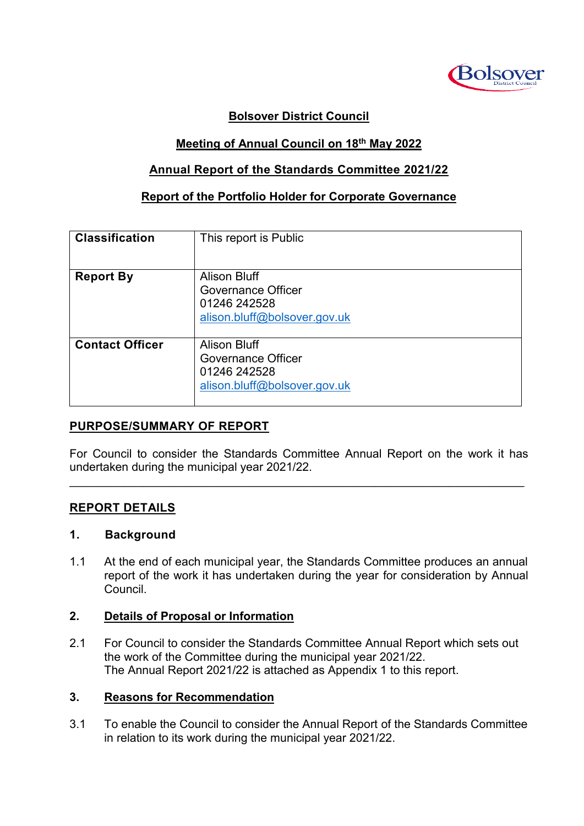

# **Bolsover District Council**

## **Meeting of Annual Council on 18 th May 2022**

## **Annual Report of the Standards Committee 2021/22**

#### **Report of the Portfolio Holder for Corporate Governance**

| <b>Classification</b>  | This report is Public                                                                            |
|------------------------|--------------------------------------------------------------------------------------------------|
| <b>Report By</b>       | <b>Alison Bluff</b><br><b>Governance Officer</b><br>01246 242528<br>alison.bluff@bolsover.gov.uk |
| <b>Contact Officer</b> | Alison Bluff<br><b>Governance Officer</b><br>01246 242528<br>alison.bluff@bolsover.gov.uk        |

#### **PURPOSE/SUMMARY OF REPORT**

For Council to consider the Standards Committee Annual Report on the work it has undertaken during the municipal year 2021/22.

 $\mathcal{L}_\mathcal{L} = \mathcal{L}_\mathcal{L} = \mathcal{L}_\mathcal{L} = \mathcal{L}_\mathcal{L} = \mathcal{L}_\mathcal{L} = \mathcal{L}_\mathcal{L} = \mathcal{L}_\mathcal{L} = \mathcal{L}_\mathcal{L} = \mathcal{L}_\mathcal{L} = \mathcal{L}_\mathcal{L} = \mathcal{L}_\mathcal{L} = \mathcal{L}_\mathcal{L} = \mathcal{L}_\mathcal{L} = \mathcal{L}_\mathcal{L} = \mathcal{L}_\mathcal{L} = \mathcal{L}_\mathcal{L} = \mathcal{L}_\mathcal{L}$ 

#### **REPORT DETAILS**

## **1. Background**

1.1 At the end of each municipal year, the Standards Committee produces an annual report of the work it has undertaken during the year for consideration by Annual Council.

#### **2. Details of Proposal or Information**

2.1 For Council to consider the Standards Committee Annual Report which sets out the work of the Committee during the municipal year 2021/22. The Annual Report 2021/22 is attached as Appendix 1 to this report.

#### **3. Reasons for Recommendation**

3.1 To enable the Council to consider the Annual Report of the Standards Committee in relation to its work during the municipal year 2021/22.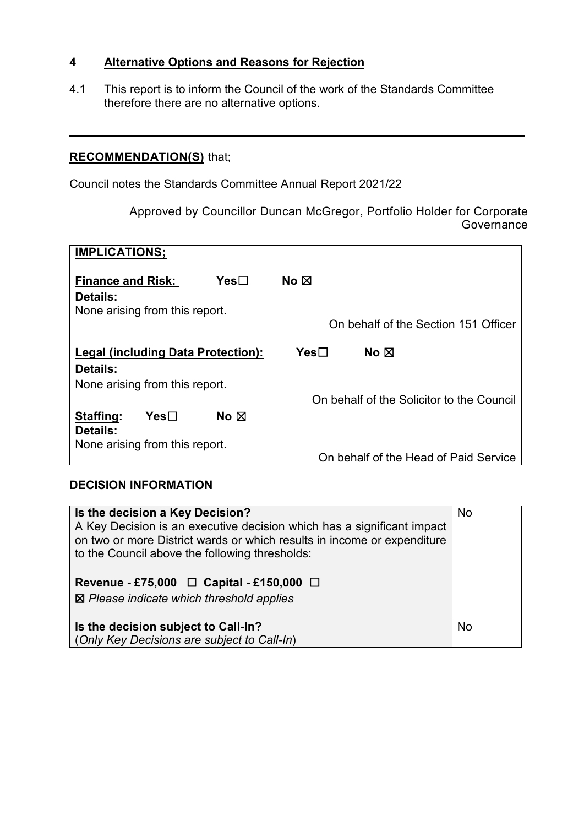## **4 Alternative Options and Reasons for Rejection**

4.1 This report is to inform the Council of the work of the Standards Committee therefore there are no alternative options.

**\_\_\_\_\_\_\_\_\_\_\_\_\_\_\_\_\_\_\_\_\_\_\_\_\_\_\_\_\_\_\_\_\_\_\_\_\_\_\_\_\_\_\_\_\_\_\_\_\_\_\_\_\_\_\_\_\_\_\_\_\_\_\_\_\_\_\_**

# **RECOMMENDATION(S)** that;

Council notes the Standards Committee Annual Report 2021/22

Approved by Councillor Duncan McGregor, Portfolio Holder for Corporate **Governance** 

| <b>IMPLICATIONS;</b>               |                                |                  |                                      |                                           |
|------------------------------------|--------------------------------|------------------|--------------------------------------|-------------------------------------------|
| <b>Finance and Risk:</b>           |                                | Yes⊟             | No ⊠                                 |                                           |
| Details:                           |                                |                  |                                      |                                           |
| None arising from this report.     |                                |                  | On behalf of the Section 151 Officer |                                           |
| Legal (including Data Protection): |                                | Yes <sub>1</sub> | No $\boxtimes$                       |                                           |
| Details:                           |                                |                  |                                      |                                           |
| None arising from this report.     |                                |                  |                                      |                                           |
|                                    |                                |                  |                                      | On behalf of the Solicitor to the Council |
| Staffing:                          | Yes⊟                           | No $\boxtimes$   |                                      |                                           |
| Details:                           |                                |                  |                                      |                                           |
|                                    | None arising from this report. |                  |                                      | On behalf of the Head of Paid Service     |

#### **DECISION INFORMATION**

| Is the decision a Key Decision?<br>A Key Decision is an executive decision which has a significant impact<br>on two or more District wards or which results in income or expenditure<br>to the Council above the following thresholds:<br>Revenue - £75,000 $\Box$ Capital - £150,000 $\Box$<br>⊠ Please indicate which threshold applies | No        |
|-------------------------------------------------------------------------------------------------------------------------------------------------------------------------------------------------------------------------------------------------------------------------------------------------------------------------------------------|-----------|
| Is the decision subject to Call-In?<br>(Only Key Decisions are subject to Call-In)                                                                                                                                                                                                                                                        | <b>No</b> |